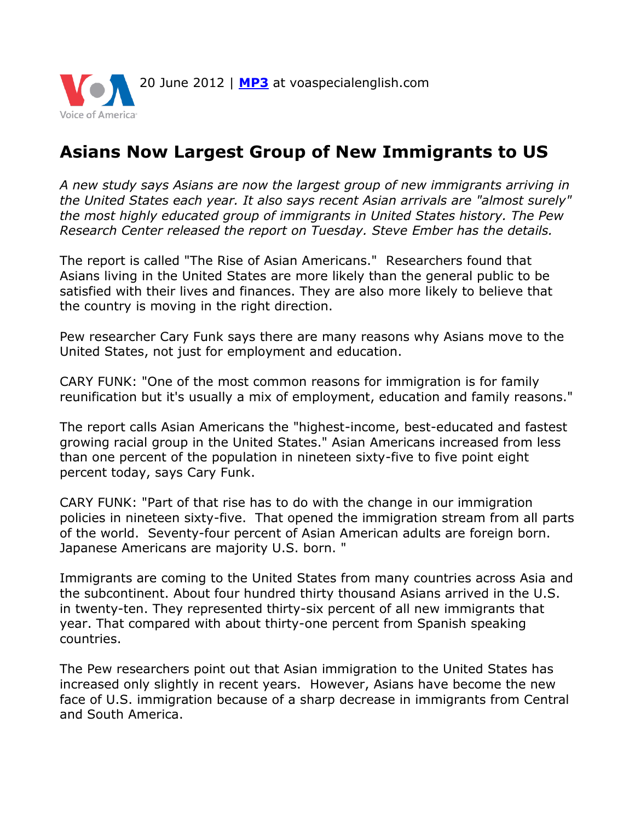

## **Asians Now Largest Group of New Immigrants to US**

*A new study says Asians are now the largest group of new immigrants arriving in the United States each year. It also says recent Asian arrivals are "almost surely" the most highly educated group of immigrants in United States history. The Pew Research Center released the report on Tuesday. Steve Ember has the details.*

The report is called "The Rise of Asian Americans." Researchers found that Asians living in the United States are more likely than the general public to be satisfied with their lives and finances. They are also more likely to believe that the country is moving in the right direction.

Pew researcher Cary Funk says there are many reasons why Asians move to the United States, not just for employment and education.

CARY FUNK: "One of the most common reasons for immigration is for family reunification but it's usually a mix of employment, education and family reasons."

The report calls Asian Americans the "highest-income, best-educated and fastest growing racial group in the United States." Asian Americans increased from less than one percent of the population in nineteen sixty-five to five point eight percent today, says Cary Funk.

CARY FUNK: "Part of that rise has to do with the change in our immigration policies in nineteen sixty-five. That opened the immigration stream from all parts of the world. Seventy-four percent of Asian American adults are foreign born. Japanese Americans are majority U.S. born. "

Immigrants are coming to the United States from many countries across Asia and the subcontinent. About four hundred thirty thousand Asians arrived in the U.S. in twenty-ten. They represented thirty-six percent of all new immigrants that year. That compared with about thirty-one percent from Spanish speaking countries.

The Pew researchers point out that Asian immigration to the United States has increased only slightly in recent years. However, Asians have become the new face of U.S. immigration because of a sharp decrease in immigrants from Central and South America.